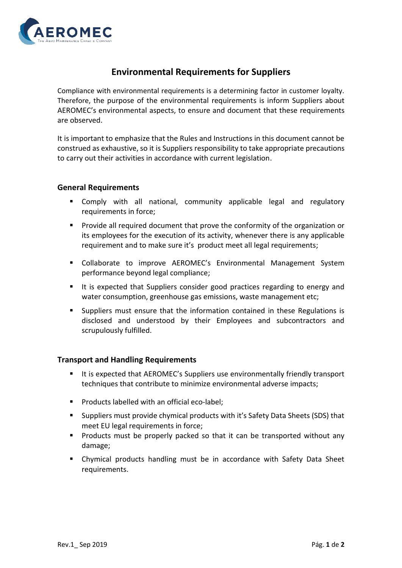

## **Environmental Requirements for Suppliers**

Compliance with environmental requirements is a determining factor in customer loyalty. Therefore, the purpose of the environmental requirements is inform Suppliers about AEROMEC's environmental aspects, to ensure and document that these requirements are observed.

It is important to emphasize that the Rules and Instructions in this document cannot be construed as exhaustive, so it is Suppliers responsibility to take appropriate precautions to carry out their activities in accordance with current legislation.

## **General Requirements**

- Comply with all national, community applicable legal and regulatory requirements in force;
- Provide all required document that prove the conformity of the organization or its employees for the execution of its activity, whenever there is any applicable requirement and to make sure it's product meet all legal requirements;
- Collaborate to improve AEROMEC's Environmental Management System performance beyond legal compliance;
- It is expected that Suppliers consider good practices regarding to energy and water consumption, greenhouse gas emissions, waste management etc;
- Suppliers must ensure that the information contained in these Regulations is disclosed and understood by their Employees and subcontractors and scrupulously fulfilled.

## **Transport and Handling Requirements**

- It is expected that AEROMEC's Suppliers use environmentally friendly transport techniques that contribute to minimize environmental adverse impacts;
- Products labelled with an official eco-label;
- Suppliers must provide chymical products with it's Safety Data Sheets (SDS) that meet EU legal requirements in force;
- Products must be properly packed so that it can be transported without any damage;
- Chymical products handling must be in accordance with Safety Data Sheet requirements.